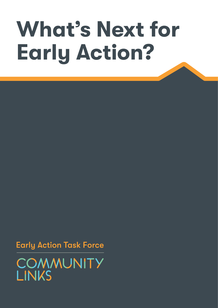# **What's Next for Early Action?**

**Early Action Task Force** 

COMMUNITY **LINKS**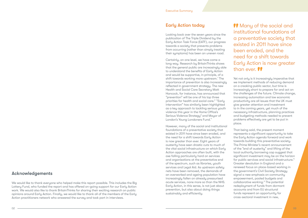**Many of the social and** institutional foundations of a preventative society that existed in 2011 have since been eroded, and the need for a shift towards Early Action is now greater than ever.

## Acknowledgements

We would like to thank everyone who helped make this report possible. This includes the Big Lottery Fund, who funded the report and has offered on-going support for our Early Action work. We would also like to thank BritainThinks for sharing their exciting research on public opinions around Early Action. Finally, we would like to thank all of the members of the Early Action practitioners network who answered the survey and took part in interviews.

Certainly, on one level, we have come a long way. Research by BritainThinks shows that the general public are increasingly able to understand the benefits of Early Action and would be supportive, in principle, of a shift towards working more upstream.<sup>1</sup> The importance of prevention is also increasingly reflected in government strategy. The new Health and Social Care Secretary Matt Hancock, for instance, has announced that "prevention" will be one of his top three priorities for health and social care.<sup>2</sup> "Early intervention" has similarly been highlighted as a key approach to tackling serious youth violence this year in the Home Office's Serious Violence Strategy<sup>3</sup> and Mayor of London's Young Londoners Fund.<sup>4</sup>

# Early Action today

Looking back over the seven years since the publication of The Triple Dividend by the Early Action Task Force (EATF), our progress towards a society that prevents problems from occurring (rather than simply treating their symptoms) has been an uneven road.

However, many of the social and institutional foundations of a preventative society that existed in 2011 have since been eroded, and the need for a shift towards Early Action is now greater than ever. Eight years of austerity have seen drastic cuts to much of the vital social infrastructure on which Early Action approaches are often built, with the axe falling particularly hard on services and organisations at the preventative end of the spectrum, such as libraries, youth services and Legal Aid. As upstream safety nets have been removed, the demands of an overworked and ageing population have increasingly fallen on already pressurised acute services, none more so than the NHS. Early Action, in this sense, is not just about prevention, but also about doing things sustainably and efficiently.

Yet not only is it increasingly imperative that we implement methods of reducing demand on a creaking public sector, but time is increasingly short to prepare for and act on the challenges of the future. Climate change, increasing automation and low economic productivity are all issues that the UK must give greater attention and investment to in the coming years, yet much of the necessary infrastructure, planning practices and budgeting methods needed to prevent problems effectively are yet to be put in place.

That being said, the present moment represents a significant opportunity to take the Early Action agenda forward and work towards building this preventative society. The Prime Minister's recent announcement of the "end of austerity" and lifting of the local authority borrowing cap suggest that significant investment may be on the horizon for public services and social infrastructure.<sup>5</sup> Greater devolution in England and a renewed focus on place-based working in the government's Civil Society Strategy signal a new emphasis on community empowerment, pooled budgets and collaborative working.<sup>6</sup> The potential redeployment of funds from dormant accounts and from EU structural funds represent an opportunity for cross-sectoral investment in new,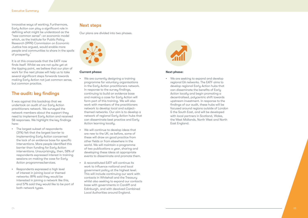# The audit: key findings

It was against this backdrop that we undertook an audit of our Early Action practitioners network. We surveyed the network members about the support they need to implement Early Action and received 58 responses. We highlight the key findings here:

- The largest subset of respondents (31%) felt that the largest barrier to implementing Early Action concerned the lack of an evidence base for specific interventions. More people identified this barrier than funding for Early Action interventions. Unsurprisingly, then, 58% of respondents expressed interest in training sessions on making the case for Early Action programmes/services.
- Respondents expressed a high level of interest in joining local or themed networks: 89% said they would be interested in joining a network like this, and 57% said they would like to be part of both network types.

# Next steps

Our plans are divided into two phases.



#### **Current phase:**

innovative ways of working. Furthermore, Early Action can play a significant role in defining what might be understood as the "new common sense": an economic model which, as the Institute for Public Policy Research (IPPR) Commission on Economic Justice has argued, would enable more people and communities to share in the spoils of prosperity. $^7$ 

- We are currently designing a training programme for voluntary organisations in the Early Action practitioners network. In response to the survey findings, continuing to build an evidence base and making a case for Early Action will form part of this training. We will also work with members of the practitioners network to develop local and subjectthemed networks. Our aim is to develop a network of regional Early Action hubs that can disseminate best practice and Early Action learning locally.
- We will continue to develop ideas that are new to the UK; as before, some of these will draw on good practice from other fields or from elsewhere in the world. We will maintain a programme of two publications a year, sharing and developing these ideas at appropriate events to disseminate and promote them.
- A reconstituted EATF will continue its work to influence national and local government policy at the highest level. This will include continuing our work with contacts in Whitehall and the Treasury whilst also seeking to expand our contacts base with governments in Cardiff and Edinburgh, and with devolved Combined Local Authorities around England.



It is at this crossroads that the EATF now finds itself. Whilst we are not quite yet at the tipping point, we believe that our plan of work for the next phase will help us to take several significant steps forwards towards making Early Action not just common sense, but common practice.

#### **Next phase:**

• We are seeking to expand and develop regional EA networks. The EATF aims to develop regional Early Action hubs that can disseminate the benefits of Early Action locally and begin promoting a decentralised, polycentric shift towards upstream investment. In response to the findings of our audit, these hubs will be focused around regions outside of London & the South East, and will be developed with local partners in Scotland, Wales, the West Midlands, North West and North East England.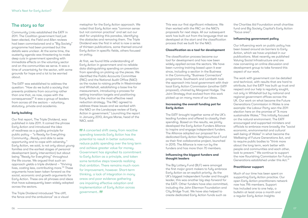# The story so far

Community Links established the EATF in 2011. The Coalition government had just been elected, the Field and Allen reviews had been commissioned and a "Big Society" programme had been promised but the details were unclear. At the same time, the austerity agenda was threatening to make deep cuts in government spending with immediate effects on the voluntary sector and on the communities we serve. It was a time of uncertainty for the sector, with some grounds for hope and a lot to be worried about.

The EATF was established to address the question: "How do we build a society that prevents problems from occurring rather than one that, as now, copes with the consequences?" It was a group of leaders from across all the sectors – voluntary, statutory, private and academia.

## **Early building**

Our first report, The Triple Dividend, was published in late 2011. It coined the phrase Early Action and introduced the idea of readiness as a guiding principle for public policy – "a Ready for Everything Community...Ready and able to seize opportunity and to cope with adversity." Early Action, we said, is not only about young families and the earliest stages of personal development (early intervention) but about being "Ready for Everything" throughout the life course. We argued that such an approach yields a triple dividend – "thriving lives, costing less, contributing more."8 These arguments have been taken forward as the social, economic and growth arguments for Early Action. These are all phrases and ideas that have subsequently been widely adopted across the sectors.

The Triple Dividend introduced "the cliff, the fence and the ambulance" as a visual

metaphor for the Early Action approach. We noted that Early Action was "common sense but not common practice" and set out our stall for unpicking this paradox, identifying the obstacles and removing them. The Triple Dividend was the first in what is now a series of thirteen publications, some themed around Early Action in specific fields, others focused on policy.

At first, we found little understanding of Early Action in government and no reliable data distinguishing spending on prevention from spending on picking up the pieces. We identified the Public Accounts Committee (PAC) and the National Audit Office (NAO) as the routes to raising profile in Westminster and Whitehall, establishing a base line for measurement, introducing a process for setting transition targets and positioning Early Action as the most effective need reduction strategy. The PAC agreed to address these issues and we worked with the NAO on the Landscape review of Early Action in government. $\degree$  Launching the report in January 2013, Amyas Morse, head of the NAO, said:

**11** A concerted shift away from reactive spending towards Early Action has the potential to result in better outcomes, reduce public spending over the long term and achieve greater value for money. Government has signalled its commitment to Early Action as a principle, and taken some tentative steps towards realizing that ambition. There remains much room for improvement, however. Short-term thinking, a lack of integration in many areas and poor evidence gathering are impairing effective adoption and implementation of Early Action across government.. *If* 

This was our first significant milestone. We then worked with the PAC on the NAO's proposals for next steps. All our subsequent work has built out from the language that we developed at the start and the classification process that we built for the NAO.

#### **Classification as a tool for development**

The classification process became our tool for development and has now been widely applied across the sectors. We have been running training based upon it ever since, including a section in the Business in the Community "Business Connectors" programme. Southwark and Lambeth took the approach into local government with their local Early Action Commission (another EATF proposal), chaired by Margaret Hodge. The Joint Strategy that evolved from this work picked up on many more of our ideas.

### **Increasing the overall funding pot for Early Action**

The EATF brought together some of the UK's leading funders and offered to classify their spending. Based on the results, we jointly developed the Early Action Funders Alliance to inspire and engage independent funders. The Alliance adopted our proposal for a dedicated Early Action Neighbourhood Fund as their first collaborative project, launched in 2015. The Alliance is now run by the funders and has more than 70 members.

### **Influencing the biggest funders and thought leaders**

The Big Lottery Fund (BLF) were amongst the first major grant makers to fully embrace Early Action as an explicit priority. As the UK's biggest independent funder and thought leader, this was another big step forward for the EATF. Other funders have also committed, including the John Ellerman Foundation and City Bridge Trust. We have also helped to create dedicated Early Action funds such as

the Charities Aid Foundation small charities fund and Big Society Capital's Early Action "focus area".

### **Influencing government policy**

Our influencing work on public policy has been based around six barriers to Early Action, which we have unpicked in our publications. Most recently we published Valuing Social Infrastructure and are now convening an online discussion and development group to take forward this aspect of our work.

The work with government can be detailed and technical, with results that are hard to attribute, but the EATF has built up trust and respect and our help is regularly sought, not only in Whitehall but by national and regional government offices across the UK. Our work on what became the Future Generations Commission in Wales is one example: the Labour Party won the 2011 election here on the promise of "A more sustainable Wales." This initially focused on the natural environment. The EATF encouraged and supported ministers and officials to embrace more broadly the "social economic, environmental and cultural well-being of Wales" in what became the Wellbeing of Future Generations Act, and to require public bodies to "think more about the long term, work better with people and communities and each other, look to prevent." We continue to support the now flourishing Commission for Future Generations established under this Act.10

#### **Practitioner support**

Much of our time has been spent on supporting Early Action practice. Our open Early Action practitioners network now has 796 members. Support has included one to one help, a bulletin at least once a month and a regular Early Action Insights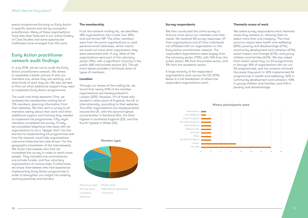events programme focusing on Early Action in specific sectors and led by successful practitioners. Many of these organisations have also been featured in our online Gallery of Case Studies and some spectacular trailblazers have emerged from this work.

# Early Action practitioner network audit findings

In July 2018, we set out to audit the Early Action practitioners network. We aimed to assemble a better picture of who our members are, where they are working, and what kinds of work they do. We also wanted to find out what additional support they need to implement Early Action programmes.

From the network mailing list, we identified 385 organisations; four Lords; four MPs; and one former MP. The other members were from the same organisations or used personal email addresses, which meant we could not trace what organisation they were associated with, if any. Most of the organisations were part of the voluntary sector (184), with a significant minority in the public (68) and private sectors (61). The pie chart below provides a full break down of tupes of members:

The audit had three elements. First, we reviewed the membership mailing list of 796 members, gleaning information from their websites. We then sent a survey to all members asking about their work and what additional support and training they needed to implement EA programmes. Fifty-eight members completed the survey. Finally, we completed telephone interviews with six organisations to do a "deeper dive" into the barriers to implementing EA programmes and how the network could help organisations overcome these barriers (see Annex 1 for the geographic breakdown of the interviewees). We chose interviewees who had not completed the survey in order to reach more people. They included one commissioner, one private funder, and four voluntary organisations of various sizes. Furthermore, we chose interviewees who had experience implementing Early Action programmes in order to strengthen our insight into existing working practices and barriers.

#### **The membership**

We asked survey respondents what thematic areas they worked on, allowing them to select more than one category. The most common topics were health and wellbeing (81%); poverty and disadvantage (67%); community development and cohesion (67%); social impact and change (67%); and young children and families (64%). We also asked them which areas they run EA programmes in (though 18% of organisations did not run EA programmes), and the answers mirrored the areas they work in: 69% implemented EA programmes in health and wellbeing; 52% in community development and cohesion; 48% in young children and families; and 41% in poverty and disadvantage.

### **Location**

Through our review of the mailing list, we found that nearly 60% of the member organisations are headquartered in London (229). However, 174 of these also worked in other parts of England, the UK or internationally, according to their websites. The other organisations are headquartered around the UK, with the second highest concentration in Scotland (24), the third highest in southeast England (23), and the fourth highest in Wales (22).

#### **Survey respondents**

We then conducted the online survey to find out more about our members and their needs. We received 58 survey responses: 37 from organisations and 21 from individuals not affiliated with an organisation on the Early Action practitioners network. The respondent organisations were largely from the voluntary sector (73%), with 16% from the public sector, 8% from the private sector, and 3% from the academic sector.

A large minority of the respondent organisations work across the UK (37%). Below is a full breakdown of where the respondent organisations work:

#### **Thematic areas of work**

#### **Where participants work**



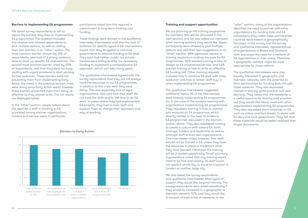#### **Barriers to implementing EA programmes**

We asked survey respondents to tell us about the barriers they face to implementing EA programmes. The question included five choices and allowed respondents to pick multiple options, as well as adding their own barriers in an "other" option. The most common barrier, chosen by 31% of respondents, was lack of a strong evidence base to back up specific EA interventions. The second most common barrier, cited by 25% of respondents, was that they were too busy dealing with urgent problems to start working further upstream. These barriers were not preventing them from implementing Early Action (as noted in the previous section, most were doing some Early Action work); however, these barriers prevented them from being as effective as they wished to be. The full results are displayed below.

In the "other" section, people talked about the need for a shift in thinking to EA principles among partner organisations, funders and service users. In particular,

participants noted that this required a commitment to long-term thinking and funding.

These findings were echoed in the qualitative interviews. Interviewees said that the lack of evidence for specific types of EA interventions meant that they struggled to convince governments to allocate funding to EA work. They said that neither public nor private funders were willing to offer the necessary funding to implement a comprehensive EA approach, which can take many years.

The qualitative interviewees agreed with the survey respondents that they did not always have the resources to run EA programmes in addition to the crisis work they were doing. This was especially true of legal organisations, who said that their staff did not have the skills and/or the time to do EA work. In cases where they had implemented EA projects, they had to train staff and support them to change their approach and way of working.

> We also asked the survey respondents and qualitative interviewees what types of support they would like, beyond training. The survey respondents were asked specifically if they would be interested in a geographic or thematic network. 57% said they would like to be part of both kinds of networks. In the



We are planning an EA training programme for members (this will be discussed in the next section) and we also asked our members what training sessions they would like. Again, participants were allowed to pick multiple options and add their own suggestions in an "other" section. 58% expressed interest in training sessions on making the case for EA programmes; 56% wanted training in how to design an EA programme/service; and 42% wanted training in how to write an effective EA funding bid. Other training requests included how to combine EA work with crisis resolution and how to obtain staff buy-in when implementing EA programmes.

The qualitative interviewees suggested additional topics. All of the interviewees were already implementing EA programmes (or, in the case of the funders, working with organisations implementing EA programmes). They requested training in how to monitor and evaluate an EA programme, which directly relates to the need to evidence EA programmes discussed in the barriers section above. They also requested training to create a culture shift toward EA, both amongst funders and leadership as well as amongst staff in their own organisations. One interviewee noted, however, that staff should not be trained in EA unless they have the resources in place to implement what they have learned. Otherwise the training will be a wasted opportunity. Small voluntary organisations noted that any training would need to be free and nearby, as staff could not spare a whole day to travel to a session in London or another large city.

"other" section, many of the organisations identified the need to partner with other organisations for funding bids and EA campaigns; they noted these partnerships could be issue-based or geographically focussed. In the survey and the survey and qualitative interviews, representatives of organisations in Wales and Scotland both expressed the need for a network of EA organisations in their areas. Therefore a geographic network might be most appropriate for those nations.

The qualitative interviewees were also equally interested in geographic and thematic networks, with the potential to form partnerships for funding bids through these networks. They also expressed interest in sharing good practice and peer learning. They noted that the newsletter is a useful resource for sharing best practice but they would also like to meet with other organisations implementing EA programmes. They also requested short materials on EA, such as videos and fact sheets, to share with funders and local government. They felt that these materials would be better received than longer documents.



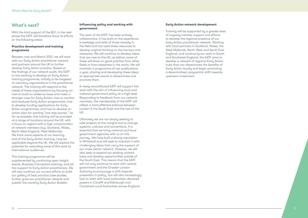#### 12 13

# What's next?

With the kind support of the BLF, in the next phase the EATF will therefore focus its efforts on the following areas:

#### **Practice development and training programme**

Between now and March 2021, we will work with our Early Action practitioner network and partners around the UK to further develop Early Action practice. Based on the findings of our network audit, the EATF is now working to develop an Early Action training programme, initially to be targeted at voluntary organisations in the practitioner network. The training will respond to the needs of these organisations by focusing on: how to build an evidence base and make a stronger case for Early Action; how to monitor and evaluate Early Action programmes; how to develop funding applications for Early Action programmes; and how to develop an action plan for working "one step sooner." As far as possible, this training will be provided at a range of locations around the UK, with a focus on regions with a high concentration of network members (e.g. Scotland, Wales, North West England, West Midlands). We think some aspects of our learning, and of the Early Action training, may be applicable beyond the UK. We will explore the potential for extending some of this work to international audiences.

This training programme will be supplemented by continuing open Insight events, Business Connectors training, and ad hoc support to Early Action practitioners. We will also continue our current efforts to build our gallery of best practice case studies, further grow our practitioner network and publish the monthly Early Action Bulletin.

#### **Influencing policy and working with government**

The work of the EATF has been entirely collaborative. It has built on the experience, knowledge and skills of those already in the field and has used these resources to develop original thinking on the barriers and obstacles. We will continue to develop ideas that are new to the UK; as before, some of these will draw on good practice from other fields or from elsewhere in the world. We will maintain a programme of two publications a year, sharing and developing these ideas at appropriate events to disseminate and promote them.

A newly reconstituted EATF will support this work with the aim of influencing local and national government policy at a high level. Responding to feedback from our network members, the membership of the EATF will reflect a more effective balance between London & the South East and the rest of the UK.

Ultimately we are not simply seeking to add projects at the margins but to change systems, cultures and conventions. It is essential that we bring national and local government agencies with us on this journey. We have built a strong reputation in Whitehall and will seek to maintain it with challenging ideas that carry the support of our cross-sector network. However, we will also seek to expand our existing contact base and develop opportunities outside of the South East. This means that the EATF will not only continue to work with central government and the Greater London Authority to encourage a shift towards prevention in policy, but will also increasingly look to work with local authorities, devolved powers in Cardiff and Edinburgh and Combined Local Authorities across England.

#### **Early Action network development**

Training will be supported by a greater level of ongoing member support and efforts to develop the regional presence of our Early Action practitioner network. Working with local partners in Scotland, Wales, the West Midlands, North West and North East England, and continuing our work in South and Southeast England, the EATF aims to develop a network of regional Early Action hubs that can disseminate the benefits of Early Action locally and begin promoting a decentralised, polycentric shift towards upstream investment.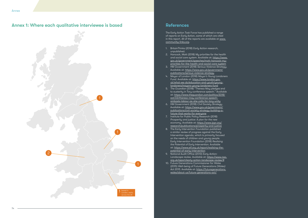# References

The Early Action Task Force has published a range of reports on Early Action, some of which are cited in this report. All of the reports are available at www. community-links.org .

- 1. BritainThinks (2018) *Early Action research*, unpublished.
- 2. Hancock, Matt (2018) *My priorities for the health and social care system*. Available at: https://www. gov.uk/government/speeches/matt-hancock-mypriorities-for-the-health-and-social-care-system
- 3. HM Government (2018) *Serious Violence Strategy.* Available at: https://www.gov.uk/government/ publications/serious-violence-strategy
- 4. Mayor of London (2018) *Mayor's Young Londoners Fund*. Available at: https://www.london.gov. uk/what-we-do/education-and-youth/younglondoners/mayors-young-londoners-fund
- 5. *The Guardian* (2018) "Theresa May pledges end to austerity in Tory conference speech." Available at: https://www.theguardian.com/politics/2018/ oct/03/theresa-may-conference-speechambasts-labour-as-she-calls-for-tory-unity
- 6. HM Government (2018) *Civil Society Strategy*. Available at: https://www.gov.uk/government/ publications/civil-society-strategy-building-afuture-that-works-for-everyone
- 7. Institute for Public Policy Research (2018) *Prosperity and justice: A plan for the new economy*. Available at: https://www.ippr.org/ research/publications/prosperity-and-justice
- 8. The Early Intervention Foundation published a similar review of progress against the Early Intervention agenda, which is primarily focused on the needs of children and young people. Early Intervention Foundation (2018) *Realising the Potential of Early Intervention*. Available at: https://www.eif.org.uk/report/realising-thepotential-of-early-intervention
- 9. National Audit Office (2013) *Early Action: Landscape review*. Available at: https://www.nao. org.uk/report/early-action-landscape-review/#
- 10. Future Generations Commissioner for Wales (2015) *Well-being of Future Generations (Wales)*  Act 2015. Available at: https://futuregenerations. wales/about-us/future-generations-act/

# Annex 1: Where each qualitative interviewee is based